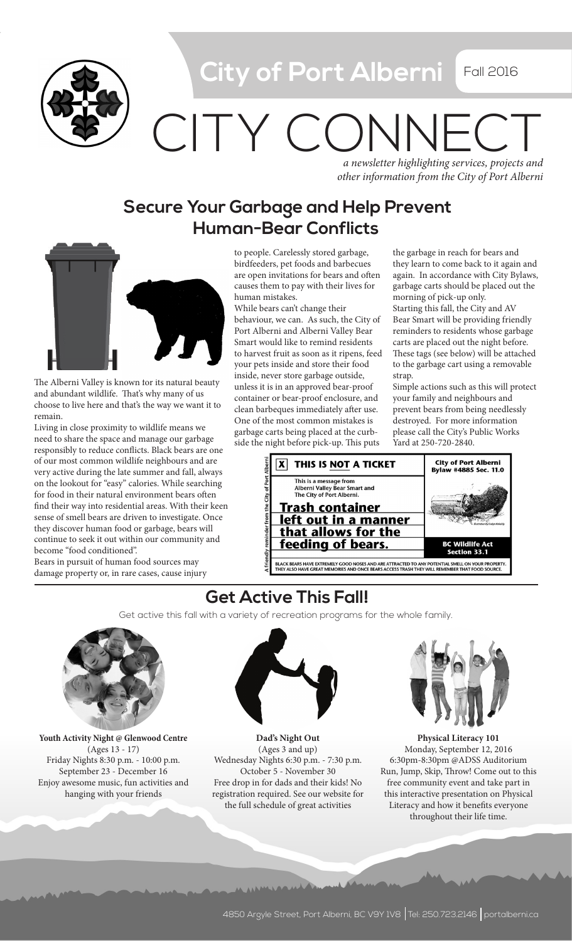

**City of Port Alberni | Fall 2016** 

# *a newsletter highlighting services, projects and*  CITY CONI

*other information from the City of Port Alberni*

# **Secure Your Garbage and Help Prevent Human-Bear Conflicts**



The Alberni Valley is known for its natural beauty and abundant wildlife. That's why many of us choose to live here and that's the way we want it to remain.

Living in close proximity to wildlife means we need to share the space and manage our garbage responsibly to reduce conflicts. Black bears are one of our most common wildlife neighbours and are very active during the late summer and fall, always on the lookout for "easy" calories. While searching for food in their natural environment bears often find their way into residential areas. With their keen sense of smell bears are driven to investigate. Once they discover human food or garbage, bears will continue to seek it out within our community and become "food conditioned".

Bears in pursuit of human food sources may damage property or, in rare cases, cause injury to people. Carelessly stored garbage, birdfeeders, pet foods and barbecues are open invitations for bears and often causes them to pay with their lives for human mistakes.

While bears can't change their behaviour, we can. As such, the City of Port Alberni and Alberni Valley Bear Smart would like to remind residents to harvest fruit as soon as it ripens, feed your pets inside and store their food inside, never store garbage outside, unless it is in an approved bear-proof container or bear-proof enclosure, and clean barbeques immediately after use. One of the most common mistakes is garbage carts being placed at the curbside the night before pick-up. This puts

the garbage in reach for bears and they learn to come back to it again and again. In accordance with City Bylaws, garbage carts should be placed out the morning of pick-up only. Starting this fall, the City and AV Bear Smart will be providing friendly reminders to residents whose garbage carts are placed out the night before. These tags (see below) will be attached to the garbage cart using a removable strap.

Simple actions such as this will protect your family and neighbours and prevent bears from being needlessly destroyed. For more information please call the City's Public Works Yard at 250-720-2840.



# **Get Active This Fall!**

Get active this fall with a variety of recreation programs for the whole family.



**Youth Activity Night @ Glenwood Centre** (Ages 13 - 17) Friday Nights 8:30 p.m. - 10:00 p.m. September 23 - December 16 Enjoy awesome music, fun activities and hanging with your friends



**Dad's Night Out** (Ages 3 and up) Wednesday Nights 6:30 p.m. - 7:30 p.m. October 5 - November 30 Free drop in for dads and their kids! No registration required. See our website for the full schedule of great activities



**Physical Literacy 101**  Monday, September 12, 2016 6:30pm-8:30pm @ADSS Auditorium Run, Jump, Skip, Throw! Come out to this free community event and take part in this interactive presentation on Physical Literacy and how it benefits everyone throughout their life time.

al primer